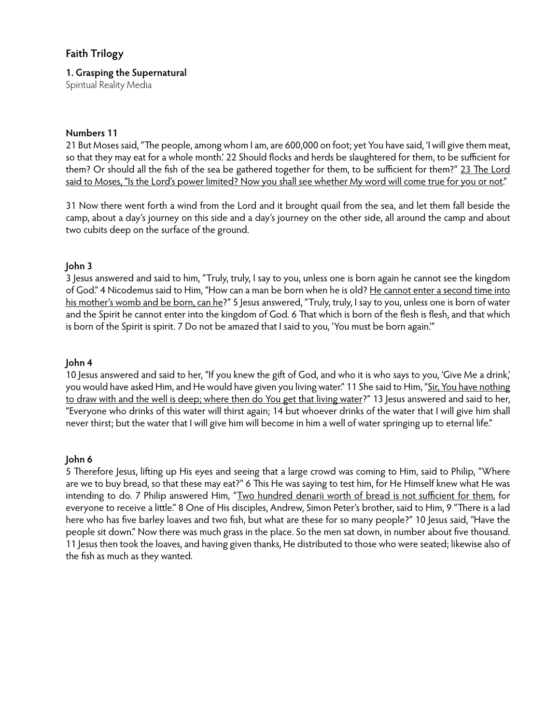# **Faith Trilogy**

## **1. Grasping the Supernatural**

Spiritual Reality Media

### **Numbers 11**

21 But Moses said, "The people, among whom I am, are 600,000 on foot; yet You have said, 'I will give them meat, so that they may eat for a whole month.' 22 Should flocks and herds be slaughtered for them, to be sufficient for them? Or should all the fish of the sea be gathered together for them, to be sufficient for them?" 23 The Lord said to Moses, "Is the Lord's power limited? Now you shall see whether My word will come true for you or not."

31 Now there went forth a wind from the Lord and it brought quail from the sea, and let them fall beside the camp, about a day's journey on this side and a day's journey on the other side, all around the camp and about two cubits deep on the surface of the ground.

# **John 3**

3 Jesus answered and said to him, "Truly, truly, I say to you, unless one is born again he cannot see the kingdom of God." 4 Nicodemus said to Him, "How can a man be born when he is old? He cannot enter a second time into his mother's womb and be born, can he?" 5 Jesus answered, "Truly, truly, I say to you, unless one is born of water and the Spirit he cannot enter into the kingdom of God. 6 That which is born of the flesh is flesh, and that which is born of the Spirit is spirit. 7 Do not be amazed that I said to you, 'You must be born again.'"

## **John 4**

10 Jesus answered and said to her, "If you knew the gift of God, and who it is who says to you, 'Give Me a drink,' you would have asked Him, and He would have given you living water." 11 She said to Him, "Sir, You have nothing to draw with and the well is deep; where then do You get that living water?" 13 Jesus answered and said to her, "Everyone who drinks of this water will thirst again; 14 but whoever drinks of the water that I will give him shall never thirst; but the water that I will give him will become in him a well of water springing up to eternal life."

#### **John 6**

5 Therefore Jesus, lifting up His eyes and seeing that a large crowd was coming to Him, said to Philip, "Where are we to buy bread, so that these may eat?" 6 This He was saying to test him, for He Himself knew what He was intending to do. 7 Philip answered Him, "Two hundred denarii worth of bread is not sufficient for them, for everyone to receive a little." 8 One of His disciples, Andrew, Simon Peter's brother, said to Him, 9 "There is a lad here who has five barley loaves and two fish, but what are these for so many people?" 10 Jesus said, "Have the people sit down." Now there was much grass in the place. So the men sat down, in number about five thousand. 11 Jesus then took the loaves, and having given thanks, He distributed to those who were seated; likewise also of the fish as much as they wanted.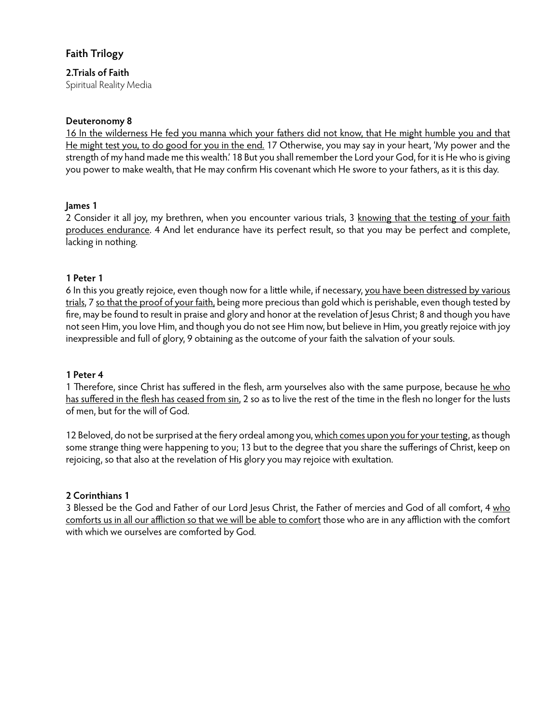# **Faith Trilogy**

# **2.Trials of Faith**

Spiritual Reality Media

## **Deuteronomy 8**

16 In the wilderness He fed you manna which your fathers did not know, that He might humble you and that He might test you, to do good for you in the end. 17 Otherwise, you may say in your heart, 'My power and the strength of my hand made me this wealth.' 18 But you shall remember the Lord your God, for it is He who is giving you power to make wealth, that He may confirm His covenant which He swore to your fathers, as it is this day.

## **James 1**

2 Consider it all joy, my brethren, when you encounter various trials, 3 knowing that the testing of your faith produces endurance. 4 And let endurance have its perfect result, so that you may be perfect and complete, lacking in nothing.

## **1 Peter 1**

6 In this you greatly rejoice, even though now for a little while, if necessary, you have been distressed by various trials, 7 so that the proof of your faith, being more precious than gold which is perishable, even though tested by fire, may be found to result in praise and glory and honor at the revelation of Jesus Christ; 8 and though you have not seen Him, you love Him, and though you do not see Him now, but believe in Him, you greatly rejoice with joy inexpressible and full of glory, 9 obtaining as the outcome of your faith the salvation of your souls.

#### **1 Peter 4**

1 Therefore, since Christ has suffered in the flesh, arm yourselves also with the same purpose, because he who has suffered in the flesh has ceased from sin, 2 so as to live the rest of the time in the flesh no longer for the lusts of men, but for the will of God.

12 Beloved, do not be surprised at the fiery ordeal among you, which comes upon you for your testing, as though some strange thing were happening to you; 13 but to the degree that you share the sufferings of Christ, keep on rejoicing, so that also at the revelation of His glory you may rejoice with exultation.

# **2 Corinthians 1**

3 Blessed be the God and Father of our Lord Jesus Christ, the Father of mercies and God of all comfort, 4 who comforts us in all our affliction so that we will be able to comfort those who are in any affliction with the comfort with which we ourselves are comforted by God.